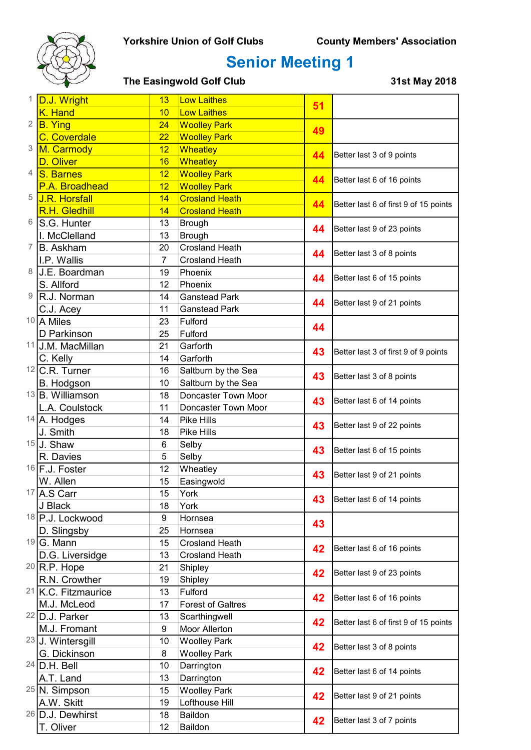

| 1              | D.J. Wright                    | 13             | <b>Low Laithes</b>                | 51 |                                                          |
|----------------|--------------------------------|----------------|-----------------------------------|----|----------------------------------------------------------|
|                | K. Hand                        | 10             | <b>Low Laithes</b>                |    |                                                          |
|                | $2$ $B.$ Ying                  | 24             | <b>Woolley Park</b>               | 49 |                                                          |
|                | <b>C.</b> Coverdale            | 22             | <b>Woolley Park</b>               |    |                                                          |
| 3              | M. Carmody                     | 12             | Wheatley                          | 44 | Better last 3 of 9 points                                |
|                | D. Oliver                      | 16             | <b>Wheatley</b>                   |    |                                                          |
| 4              | S. Barnes                      | 12             | <b>Woolley Park</b>               | 44 | Better last 6 of 16 points                               |
|                | P.A. Broadhead                 | 12             | <b>Woolley Park</b>               |    |                                                          |
| 5              | <b>J.R. Horsfall</b>           | 14             | <b>Crosland Heath</b>             | 44 | Better last 6 of first 9 of 15 points                    |
|                | R.H. Gledhill                  | 14             | <b>Crosland Heath</b>             |    |                                                          |
| 6              | S.G. Hunter                    | 13             | <b>Brough</b>                     | 44 | Better last 9 of 23 points                               |
|                | I. McClelland                  | 13             | <b>Brough</b>                     |    |                                                          |
| $\overline{7}$ | B. Askham                      | 20             | <b>Crosland Heath</b>             | 44 | Better last 3 of 8 points                                |
|                | I.P. Wallis                    | $\overline{7}$ | <b>Crosland Heath</b>             |    |                                                          |
| 8              | <b>J.E. Boardman</b>           | 19             | Phoenix                           | 44 | Better last 6 of 15 points                               |
|                | S. Allford                     | 12             | Phoenix                           |    |                                                          |
| 9              | R.J. Norman                    | 14             | <b>Ganstead Park</b>              | 44 | Better last 9 of 21 points                               |
|                | C.J. Acey                      | 11             | <b>Ganstead Park</b>              |    |                                                          |
|                | $10$ A Miles                   | 23             | Fulford                           | 44 |                                                          |
|                | D Parkinson                    | 25             | Fulford                           |    |                                                          |
|                | 11 J.M. MacMillan              | 21             | Garforth                          | 43 | Better last 3 of first 9 of 9 points                     |
|                | C. Kelly                       | 14             | Garforth                          |    |                                                          |
|                | $12$ C.R. Turner               | 16             | Saltburn by the Sea               | 43 | Better last 3 of 8 points                                |
|                | <b>B.</b> Hodgson              | 10             | Saltburn by the Sea               |    |                                                          |
|                | $13$ B. Williamson             | 18             | Doncaster Town Moor               | 43 | Better last 6 of 14 points                               |
|                | L.A. Coulstock                 | 11<br>14       | Doncaster Town Moor<br>Pike Hills |    |                                                          |
|                | 14 A. Hodges<br>J. Smith       | 18             | Pike Hills                        | 43 | Better last 9 of 22 points                               |
|                | $15$ J. Shaw                   | 6              |                                   |    |                                                          |
|                | R. Davies                      | 5              | Selby<br>Selby                    | 43 | Better last 6 of 15 points                               |
|                | $16$ F.J. Foster               | 12             | Wheatley                          |    | Better last 9 of 21 points                               |
|                | W. Allen                       | 15             | Easingwold                        | 43 |                                                          |
|                | $17$ A.S Carr                  | 15             | York                              |    |                                                          |
|                | J Black                        | 18             | York                              | 43 | Better last 6 of 14 points                               |
|                | 18 P.J. Lockwood               | 9              | Hornsea                           |    |                                                          |
|                | D. Slingsby                    | 25             | Hornsea                           | 43 |                                                          |
|                | $19 G.$ Mann                   | 15             | <b>Crosland Heath</b>             |    | Better last 6 of 16 points<br>Better last 9 of 23 points |
|                | D.G. Liversidge                | 13             | <b>Crosland Heath</b>             | 42 |                                                          |
|                | $20$ R.P. Hope                 | 21             | Shipley                           |    |                                                          |
|                | R.N. Crowther                  | 19             | Shipley                           | 42 |                                                          |
|                | <sup>21</sup> K.C. Fitzmaurice | 13             | Fulford                           |    | Better last 6 of 16 points                               |
|                | M.J. McLeod                    | 17             | <b>Forest of Galtres</b>          | 42 |                                                          |
|                | 22 D.J. Parker                 | 13             | Scarthingwell                     |    | Better last 6 of first 9 of 15 points                    |
|                | M.J. Fromant                   | 9              | Moor Allerton                     | 42 |                                                          |
|                | $23$ J. Wintersgill            | 10             | <b>Woolley Park</b>               |    | Better last 3 of 8 points                                |
|                | G. Dickinson                   | 8              | <b>Woolley Park</b>               | 42 |                                                          |
|                | $24$ D.H. Bell                 | 10             | Darrington                        | 42 |                                                          |
|                | A.T. Land                      | 13             | Darrington                        |    | Better last 6 of 14 points                               |
|                | $25$ <sub>N</sub> . Simpson    | 15             | <b>Woolley Park</b>               | 42 |                                                          |
|                | A.W. Skitt                     | 19             | Lofthouse Hill                    |    | Better last 9 of 21 points                               |
|                | $26$ D.J. Dewhirst             | 18             | Baildon                           |    |                                                          |
|                | T. Oliver                      | 12             | Baildon                           | 42 | Better last 3 of 7 points                                |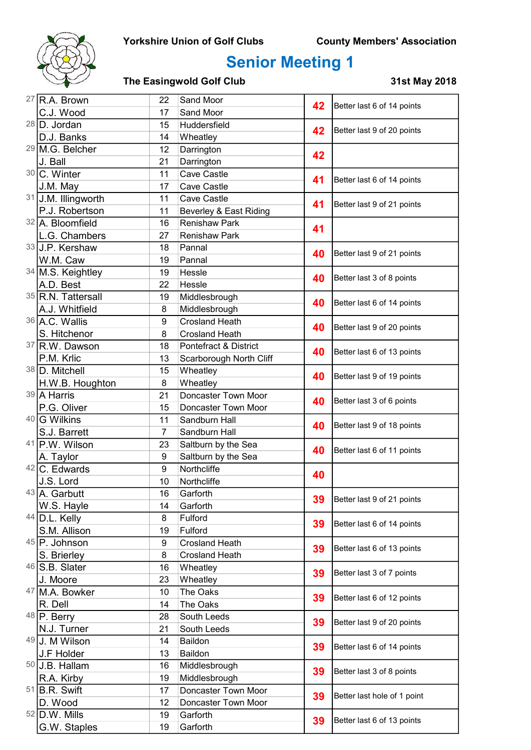

| <sup>27</sup> R.A. Brown   | Sand Moor<br>22  | 42                      | Better last 6 of 14 points |                             |
|----------------------------|------------------|-------------------------|----------------------------|-----------------------------|
| C.J. Wood                  | 17               | Sand Moor               |                            |                             |
| $28$ D. Jordan             | 15               | Huddersfield            | 42                         | Better last 9 of 20 points  |
| D.J. Banks                 | 14               | Wheatley                |                            |                             |
| <sup>29</sup> M.G. Belcher | 12               | Darrington              | 42                         |                             |
| J. Ball                    | 21               | Darrington              |                            |                             |
| 30 C. Winter               | 11               | Cave Castle             | 41                         | Better last 6 of 14 points  |
| J.M. May                   | 17               | <b>Cave Castle</b>      |                            |                             |
| 31 J.M. Illingworth        | 11               | <b>Cave Castle</b>      | 41                         | Better last 9 of 21 points  |
| P.J. Robertson             | 11               | Beverley & East Riding  |                            |                             |
| 32 A. Bloomfield           | 16               | <b>Renishaw Park</b>    | 41                         |                             |
| L.G. Chambers              | 27               | <b>Renishaw Park</b>    |                            |                             |
| 33 J.P. Kershaw            | 18               | Pannal                  | 40                         | Better last 9 of 21 points  |
| W.M. Caw                   | 19               | Pannal                  |                            |                             |
| 34 M.S. Keightley          | 19               | Hessle                  | 40                         | Better last 3 of 8 points   |
| A.D. Best                  | 22               | Hessle                  |                            |                             |
| 35 R.N. Tattersall         | 19               | Middlesbrough           | 40                         | Better last 6 of 14 points  |
| A.J. Whitfield             | 8                | Middlesbrough           |                            |                             |
| 36 A.C. Wallis             | $\boldsymbol{9}$ | <b>Crosland Heath</b>   | 40                         | Better last 9 of 20 points  |
| S. Hitchenor               | 8                | <b>Crosland Heath</b>   |                            |                             |
| 37 R.W. Dawson             | 18               | Pontefract & District   | 40                         | Better last 6 of 13 points  |
| P.M. Krlic                 | 13               | Scarborough North Cliff |                            |                             |
| 38 D. Mitchell             | 15               | Wheatley                | 40                         | Better last 9 of 19 points  |
| H.W.B. Houghton            | 8                | Wheatley                |                            |                             |
| 39 A Harris                | 21               | Doncaster Town Moor     | 40                         | Better last 3 of 6 points   |
| P.G. Oliver                | 15               | Doncaster Town Moor     |                            |                             |
| 40 G Wilkins               | 11               | Sandburn Hall           | 40                         | Better last 9 of 18 points  |
| S.J. Barrett               | $\overline{7}$   | Sandburn Hall           |                            |                             |
| 41 P.W. Wilson             | 23               | Saltburn by the Sea     | 40                         | Better last 6 of 11 points  |
| A. Taylor                  | 9                | Saltburn by the Sea     |                            |                             |
| 42 C. Edwards              | 9                | Northcliffe             | 40                         |                             |
| J.S. Lord<br>43 A. Garbutt | 10<br>16         | Northcliffe<br>Garforth |                            |                             |
| W.S. Hayle                 | 14               | Garforth                | 39                         | Better last 9 of 21 points  |
| 44 D.L. Kelly              | 8                | Fulford                 |                            |                             |
| S.M. Allison               | 19               | Fulford                 | 39                         | Better last 6 of 14 points  |
| 45 P. Johnson              | 9                | <b>Crosland Heath</b>   |                            |                             |
| S. Brierley                | 8                | <b>Crosland Heath</b>   | 39                         | Better last 6 of 13 points  |
| $46$ S.B. Slater           | 16               | Wheatley                |                            |                             |
| J. Moore                   | 23               | Wheatley                | 39                         | Better last 3 of 7 points   |
| 47 M.A. Bowker             | 10               | The Oaks                |                            |                             |
| R. Dell                    | 14               | The Oaks                | 39                         | Better last 6 of 12 points  |
| 48 P. Berry                | 28               | South Leeds             |                            |                             |
| N.J. Turner                | 21               | South Leeds             | 39                         | Better last 9 of 20 points  |
| 49 J. M Wilson             | 14               | Baildon                 |                            | Better last 6 of 14 points  |
| J.F Holder                 | 13               | Baildon                 | 39                         |                             |
| $50$ J.B. Hallam           | 16               | Middlesbrough           | 39                         |                             |
| R.A. Kirby                 | 19               | Middlesbrough           |                            | Better last 3 of 8 points   |
| $51$ B.R. Swift            | 17               | Doncaster Town Moor     |                            |                             |
| D. Wood                    | 12               | Doncaster Town Moor     | 39                         | Better last hole of 1 point |
| $52$ D.W. Mills            | 19               | Garforth                |                            |                             |
| G.W. Staples               | 19               | Garforth                | 39                         | Better last 6 of 13 points  |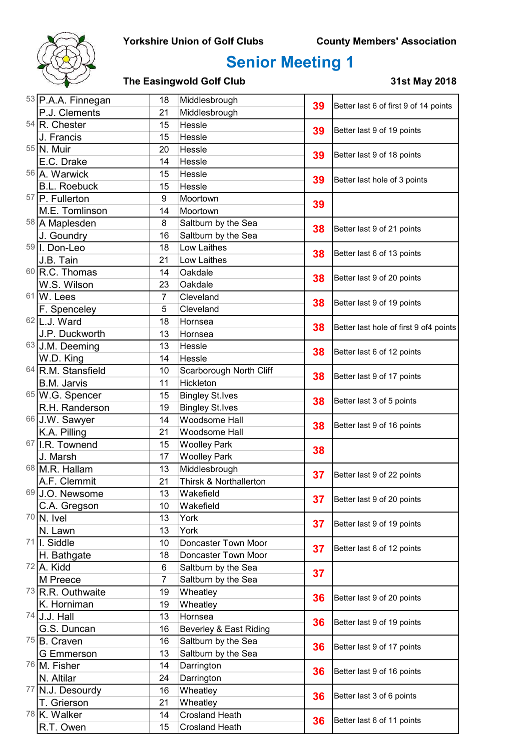

| 53 P.A.A. Finnegan                 | Middlesbrough<br>18 | 39                      | Better last 6 of first 9 of 14 points |                                        |
|------------------------------------|---------------------|-------------------------|---------------------------------------|----------------------------------------|
| P.J. Clements                      | 21                  | Middlesbrough           |                                       |                                        |
| $54$ R. Chester                    | 15                  | Hessle                  | 39                                    | Better last 9 of 19 points             |
| J. Francis                         | 15                  | Hessle                  |                                       |                                        |
| 55 N. Muir                         | 20                  | Hessle                  | 39                                    | Better last 9 of 18 points             |
| E.C. Drake                         | 14                  | Hessle                  |                                       |                                        |
| 56 A. Warwick                      | 15                  | Hessle                  | 39                                    | Better last hole of 3 points           |
| <b>B.L. Roebuck</b>                | 15                  | Hessle                  |                                       |                                        |
| 57 P. Fullerton                    | 9                   | Moortown                | 39                                    |                                        |
| M.E. Tomlinson                     | 14                  | Moortown                |                                       |                                        |
| 58 A Maplesden                     | 8                   | Saltburn by the Sea     | 38<br>38                              | Better last 9 of 21 points             |
| J. Goundry                         | 16                  | Saltburn by the Sea     |                                       |                                        |
| 59 I. Don-Leo                      | 18                  | Low Laithes             |                                       | Better last 6 of 13 points             |
| J.B. Tain                          | 21                  | Low Laithes             |                                       |                                        |
| 60 R.C. Thomas                     | 14                  | Oakdale                 | 38                                    | Better last 9 of 20 points             |
| W.S. Wilson                        | 23                  | Oakdale                 |                                       |                                        |
| $61$ W. Lees                       | $\overline{7}$      | Cleveland               | 38                                    | Better last 9 of 19 points             |
| F. Spenceley                       | 5                   | Cleveland               |                                       |                                        |
| $62$  L.J. Ward                    | 18                  | Hornsea                 | 38                                    | Better last hole of first 9 of4 points |
| J.P. Duckworth                     | 13                  | Hornsea                 |                                       |                                        |
| 63 J.M. Deeming                    | 13                  | Hessle                  | 38                                    | Better last 6 of 12 points             |
| W.D. King                          | 14                  | Hessle                  |                                       |                                        |
| 64 R.M. Stansfield                 | 10                  | Scarborough North Cliff | 38                                    | Better last 9 of 17 points             |
| <b>B.M. Jarvis</b>                 | 11                  | Hickleton               |                                       |                                        |
| 65 W.G. Spencer                    | 15                  | <b>Bingley St.Ives</b>  | 38                                    | Better last 3 of 5 points              |
| R.H. Randerson                     | 19                  | <b>Bingley St.Ives</b>  |                                       |                                        |
| 66 J.W. Sawyer                     | 14                  | Woodsome Hall           | 38                                    | Better last 9 of 16 points             |
| K.A. Pilling                       | 21                  | Woodsome Hall           |                                       |                                        |
| 67 I.R. Townend                    | 15                  | <b>Woolley Park</b>     | 38                                    |                                        |
| J. Marsh                           | 17                  | <b>Woolley Park</b>     |                                       |                                        |
| 68 M.R. Hallam                     | 13                  | Middlesbrough           | 37                                    | Better last 9 of 22 points             |
| A.F. Clemmit                       | 21                  | Thirsk & Northallerton  |                                       |                                        |
| 69 J.O. Newsome                    | 13                  | Wakefield               | 37                                    | Better last 9 of 20 points             |
| C.A. Gregson                       | 10                  | Wakefield               |                                       |                                        |
| $70$ N. Ivel                       | 13                  | York                    | 37                                    | Better last 9 of 19 points             |
| N. Lawn                            | 13                  | York                    |                                       |                                        |
| $71$ . Siddle                      | 10                  | Doncaster Town Moor     | 37                                    | Better last 6 of 12 points             |
| H. Bathgate                        | 18                  | Doncaster Town Moor     |                                       |                                        |
| $72$ A. Kidd                       | 6                   | Saltburn by the Sea     | 37                                    |                                        |
| M Preece                           | $\overline{7}$      | Saltburn by the Sea     |                                       |                                        |
| 73 R.R. Outhwaite                  | 19                  | Wheatley                | 36                                    | Better last 9 of 20 points             |
| K. Horniman                        | 19                  | Wheatley                |                                       |                                        |
| $74$ J.J. Hall                     | 13                  | Hornsea                 | 36<br>36<br>36                        | Better last 9 of 19 points             |
| G.S. Duncan                        | 16                  | Beverley & East Riding  |                                       |                                        |
| 75 B. Craven                       | 16                  | Saltburn by the Sea     |                                       | Better last 9 of 17 points             |
| G Emmerson                         | 13                  | Saltburn by the Sea     |                                       |                                        |
| 76 M. Fisher                       | 14                  | Darrington              |                                       | Better last 9 of 16 points             |
| N. Altilar                         | 24                  | Darrington              |                                       |                                        |
| 77 N.J. Desourdy                   | 16                  | Wheatley                | 36                                    | Better last 3 of 6 points              |
| T. Grierson                        | 21                  | Wheatley                |                                       |                                        |
| <sup>78</sup> <sub>K.</sub> Walker | 14                  | <b>Crosland Heath</b>   | 36                                    | Better last 6 of 11 points             |
| R.T. Owen                          | 15                  | <b>Crosland Heath</b>   |                                       |                                        |